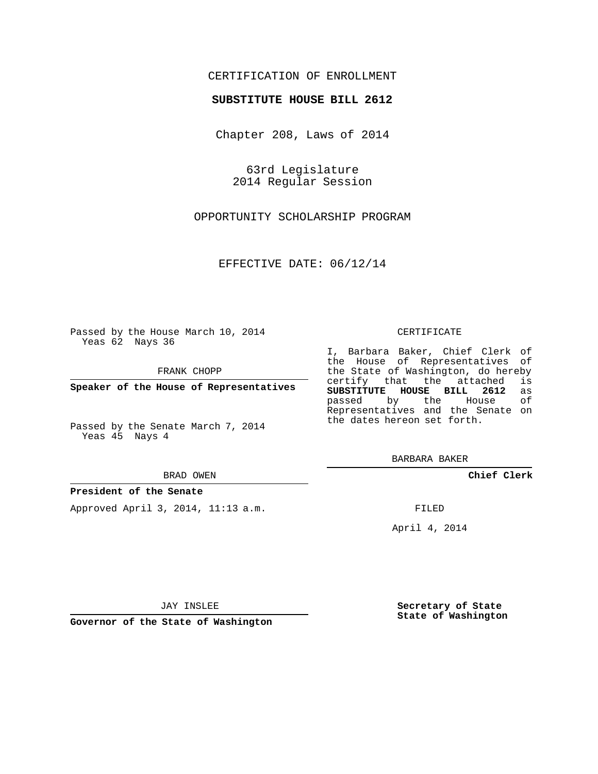## CERTIFICATION OF ENROLLMENT

### **SUBSTITUTE HOUSE BILL 2612**

Chapter 208, Laws of 2014

63rd Legislature 2014 Regular Session

OPPORTUNITY SCHOLARSHIP PROGRAM

EFFECTIVE DATE: 06/12/14

Passed by the House March 10, 2014 Yeas 62 Nays 36

FRANK CHOPP

**Speaker of the House of Representatives**

Passed by the Senate March 7, 2014 Yeas 45 Nays 4

BRAD OWEN

#### **President of the Senate**

Approved April 3, 2014, 11:13 a.m.

#### CERTIFICATE

I, Barbara Baker, Chief Clerk of the House of Representatives of the State of Washington, do hereby<br>certify that the attached is certify that the attached **SUBSTITUTE HOUSE BILL 2612** as passed by the Representatives and the Senate on the dates hereon set forth.

BARBARA BAKER

**Chief Clerk**

FILED

April 4, 2014

**Secretary of State State of Washington**

JAY INSLEE

**Governor of the State of Washington**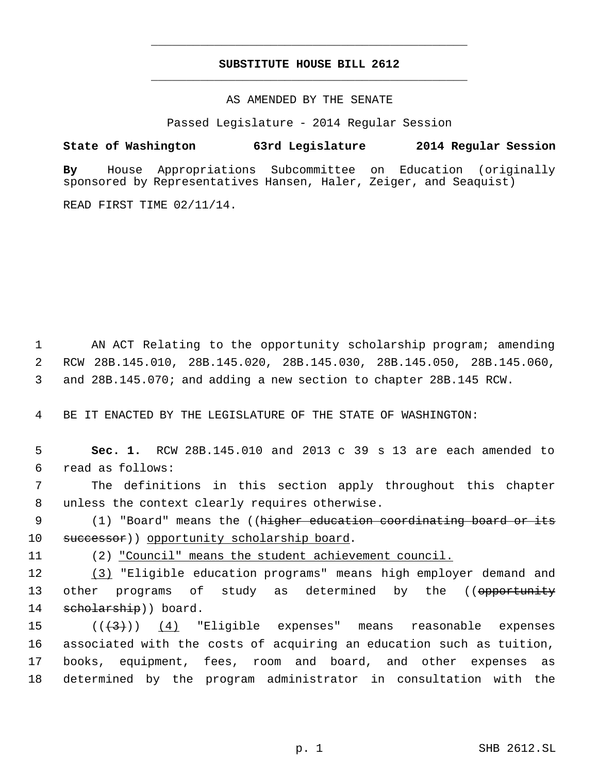# **SUBSTITUTE HOUSE BILL 2612** \_\_\_\_\_\_\_\_\_\_\_\_\_\_\_\_\_\_\_\_\_\_\_\_\_\_\_\_\_\_\_\_\_\_\_\_\_\_\_\_\_\_\_\_\_

\_\_\_\_\_\_\_\_\_\_\_\_\_\_\_\_\_\_\_\_\_\_\_\_\_\_\_\_\_\_\_\_\_\_\_\_\_\_\_\_\_\_\_\_\_

AS AMENDED BY THE SENATE

Passed Legislature - 2014 Regular Session

## **State of Washington 63rd Legislature 2014 Regular Session**

**By** House Appropriations Subcommittee on Education (originally sponsored by Representatives Hansen, Haler, Zeiger, and Seaquist)

READ FIRST TIME 02/11/14.

 1 AN ACT Relating to the opportunity scholarship program; amending 2 RCW 28B.145.010, 28B.145.020, 28B.145.030, 28B.145.050, 28B.145.060, 3 and 28B.145.070; and adding a new section to chapter 28B.145 RCW.

4 BE IT ENACTED BY THE LEGISLATURE OF THE STATE OF WASHINGTON:

 5 **Sec. 1.** RCW 28B.145.010 and 2013 c 39 s 13 are each amended to 6 read as follows:

 7 The definitions in this section apply throughout this chapter 8 unless the context clearly requires otherwise.

9 (1) "Board" means the ((<del>higher education coordinating board or its</del> 10 successor)) opportunity scholarship board.

11 (2) "Council" means the student achievement council.

12 (3) "Eligible education programs" means high employer demand and 13 other programs of study as determined by the ((opportunity 14 scholarship)) board.

 $((\langle 3 \rangle))$  (4) "Eligible expenses" means reasonable expenses associated with the costs of acquiring an education such as tuition, books, equipment, fees, room and board, and other expenses as determined by the program administrator in consultation with the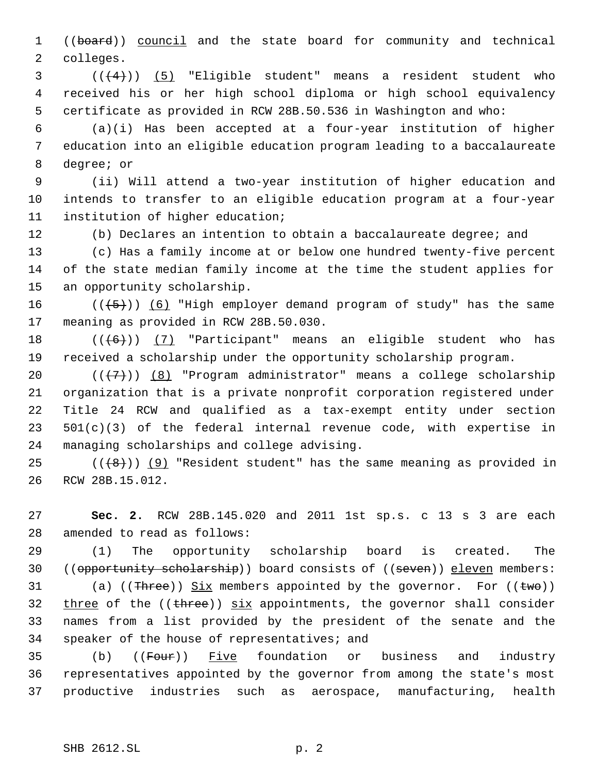1 ((board)) council and the state board for community and technical colleges.

 ( $(\frac{4}{4})$ ) (5) "Eligible student" means a resident student who received his or her high school diploma or high school equivalency certificate as provided in RCW 28B.50.536 in Washington and who:

 (a)(i) Has been accepted at a four-year institution of higher education into an eligible education program leading to a baccalaureate degree; or

 (ii) Will attend a two-year institution of higher education and intends to transfer to an eligible education program at a four-year institution of higher education;

(b) Declares an intention to obtain a baccalaureate degree; and

 (c) Has a family income at or below one hundred twenty-five percent of the state median family income at the time the student applies for an opportunity scholarship.

 $((\langle 5 \rangle)(6)$  "High employer demand program of study" has the same meaning as provided in RCW 28B.50.030.

18  $((+6))$   $(7)$  "Participant" means an eligible student who has received a scholarship under the opportunity scholarship program.

 $((+7))$   $(8)$  "Program administrator" means a college scholarship organization that is a private nonprofit corporation registered under Title 24 RCW and qualified as a tax-exempt entity under section 501(c)(3) of the federal internal revenue code, with expertise in managing scholarships and college advising.

25  $((+8))$  (9) "Resident student" has the same meaning as provided in RCW 28B.15.012.

 **Sec. 2.** RCW 28B.145.020 and 2011 1st sp.s. c 13 s 3 are each amended to read as follows:

 (1) The opportunity scholarship board is created. The 30 ((opportunity scholarship)) board consists of ((seven)) eleven members:

31 (a) (( $\text{Three}$ )) Six members appointed by the governor. For (( $\text{two}}$ ))  $three$  of the (( $three$ ))  $six$  appointments, the governor shall consider names from a list provided by the president of the senate and the speaker of the house of representatives; and

35 (b) ((Four)) Five foundation or business and industry representatives appointed by the governor from among the state's most productive industries such as aerospace, manufacturing, health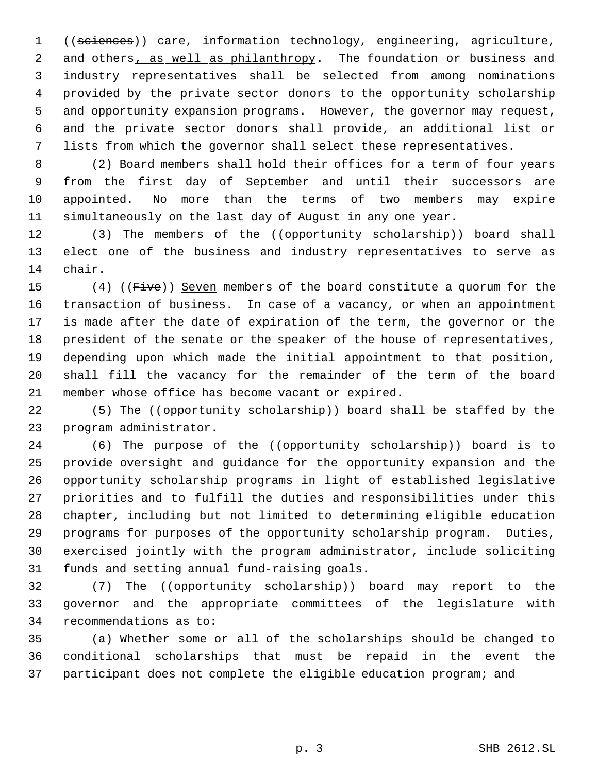((sciences)) care, information technology, engineering, agriculture, 2 and others, as well as philanthropy. The foundation or business and industry representatives shall be selected from among nominations provided by the private sector donors to the opportunity scholarship and opportunity expansion programs. However, the governor may request, and the private sector donors shall provide, an additional list or lists from which the governor shall select these representatives.

 (2) Board members shall hold their offices for a term of four years from the first day of September and until their successors are appointed. No more than the terms of two members may expire simultaneously on the last day of August in any one year.

12 (3) The members of the ((opportunity scholarship)) board shall elect one of the business and industry representatives to serve as chair.

15 (4) ((Five)) Seven members of the board constitute a quorum for the transaction of business. In case of a vacancy, or when an appointment is made after the date of expiration of the term, the governor or the president of the senate or the speaker of the house of representatives, depending upon which made the initial appointment to that position, shall fill the vacancy for the remainder of the term of the board member whose office has become vacant or expired.

22 (5) The ((opportunity scholarship)) board shall be staffed by the program administrator.

24 (6) The purpose of the ((opportunity-scholarship)) board is to provide oversight and guidance for the opportunity expansion and the opportunity scholarship programs in light of established legislative priorities and to fulfill the duties and responsibilities under this chapter, including but not limited to determining eligible education programs for purposes of the opportunity scholarship program. Duties, exercised jointly with the program administrator, include soliciting funds and setting annual fund-raising goals.

32 (7) The ((opportunity scholarship)) board may report to the governor and the appropriate committees of the legislature with recommendations as to:

 (a) Whether some or all of the scholarships should be changed to conditional scholarships that must be repaid in the event the participant does not complete the eligible education program; and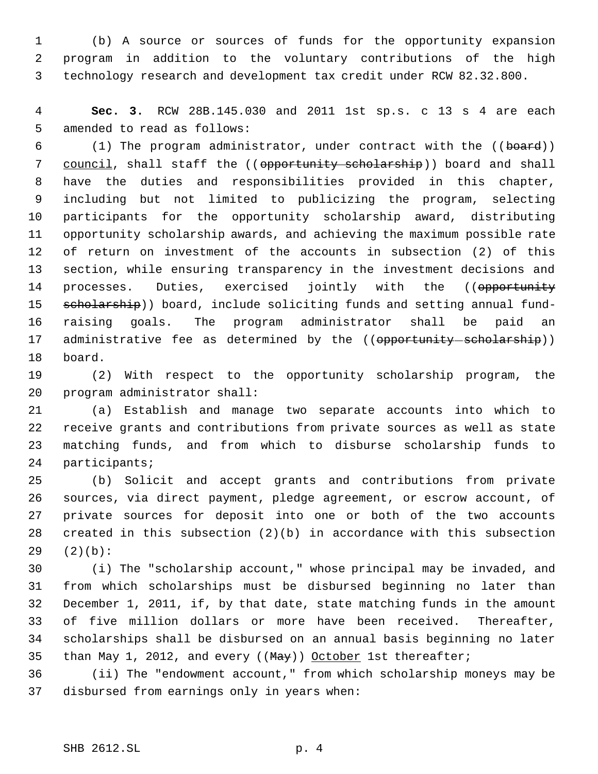(b) A source or sources of funds for the opportunity expansion program in addition to the voluntary contributions of the high technology research and development tax credit under RCW 82.32.800.

 **Sec. 3.** RCW 28B.145.030 and 2011 1st sp.s. c 13 s 4 are each amended to read as follows:

6 (1) The program administrator, under contract with the ((board)) 7 council, shall staff the ((opportunity scholarship)) board and shall have the duties and responsibilities provided in this chapter, including but not limited to publicizing the program, selecting participants for the opportunity scholarship award, distributing opportunity scholarship awards, and achieving the maximum possible rate of return on investment of the accounts in subsection (2) of this section, while ensuring transparency in the investment decisions and 14 processes. Duties, exercised jointly with the ((opportunity 15 scholarship)) board, include soliciting funds and setting annual fund- raising goals. The program administrator shall be paid an 17 administrative fee as determined by the ((opportunity-scholarship)) board.

 (2) With respect to the opportunity scholarship program, the program administrator shall:

 (a) Establish and manage two separate accounts into which to receive grants and contributions from private sources as well as state matching funds, and from which to disburse scholarship funds to participants;

 (b) Solicit and accept grants and contributions from private sources, via direct payment, pledge agreement, or escrow account, of private sources for deposit into one or both of the two accounts created in this subsection (2)(b) in accordance with this subsection (2)(b):

 (i) The "scholarship account," whose principal may be invaded, and from which scholarships must be disbursed beginning no later than December 1, 2011, if, by that date, state matching funds in the amount of five million dollars or more have been received. Thereafter, scholarships shall be disbursed on an annual basis beginning no later 35 than May 1, 2012, and every  $((\text{May}))$  October 1st thereafter;

 (ii) The "endowment account," from which scholarship moneys may be disbursed from earnings only in years when: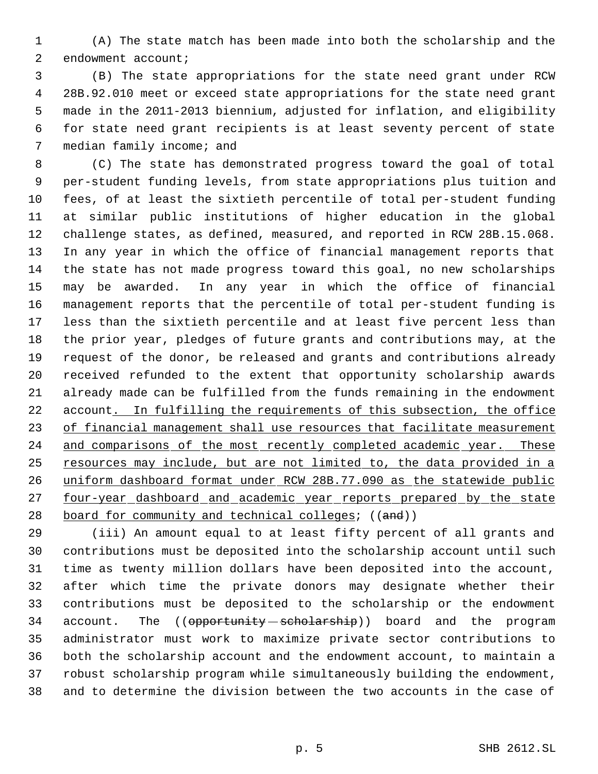(A) The state match has been made into both the scholarship and the 2 endowment account;

 (B) The state appropriations for the state need grant under RCW 28B.92.010 meet or exceed state appropriations for the state need grant made in the 2011-2013 biennium, adjusted for inflation, and eligibility for state need grant recipients is at least seventy percent of state median family income; and

 (C) The state has demonstrated progress toward the goal of total per-student funding levels, from state appropriations plus tuition and fees, of at least the sixtieth percentile of total per-student funding at similar public institutions of higher education in the global challenge states, as defined, measured, and reported in RCW 28B.15.068. In any year in which the office of financial management reports that the state has not made progress toward this goal, no new scholarships may be awarded. In any year in which the office of financial management reports that the percentile of total per-student funding is less than the sixtieth percentile and at least five percent less than the prior year, pledges of future grants and contributions may, at the request of the donor, be released and grants and contributions already received refunded to the extent that opportunity scholarship awards already made can be fulfilled from the funds remaining in the endowment 22 account. In fulfilling the requirements of this subsection, the office 23 of financial management shall use resources that facilitate measurement 24 and comparisons of the most recently completed academic year. These 25 resources may include, but are not limited to, the data provided in a uniform dashboard format under RCW 28B.77.090 as the statewide public 27 four-year dashboard and academic year reports prepared by the state 28 board for community and technical colleges; ((and))

 (iii) An amount equal to at least fifty percent of all grants and contributions must be deposited into the scholarship account until such time as twenty million dollars have been deposited into the account, after which time the private donors may designate whether their contributions must be deposited to the scholarship or the endowment 34 account. The ((opportunity - scholarship)) board and the program administrator must work to maximize private sector contributions to both the scholarship account and the endowment account, to maintain a robust scholarship program while simultaneously building the endowment, and to determine the division between the two accounts in the case of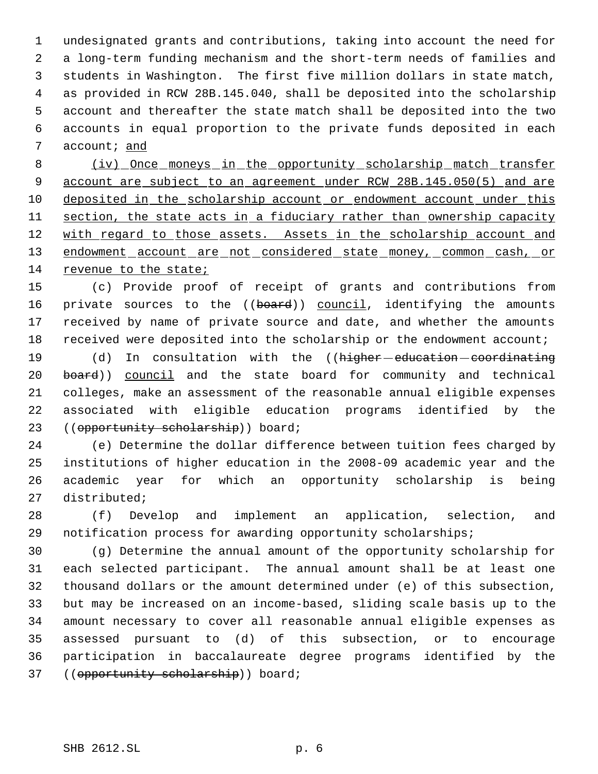undesignated grants and contributions, taking into account the need for a long-term funding mechanism and the short-term needs of families and students in Washington. The first five million dollars in state match, as provided in RCW 28B.145.040, shall be deposited into the scholarship account and thereafter the state match shall be deposited into the two accounts in equal proportion to the private funds deposited in each account; and

8 (iv) Once moneys in the opportunity scholarship match transfer account are subject to an agreement under RCW 28B.145.050(5) and are deposited in the scholarship account or endowment account under this 11 section, the state acts in a fiduciary rather than ownership capacity 12 with regard to those assets. Assets in the scholarship account and 13 endowment account are not considered state money, common cash, or 14 revenue to the state;

 (c) Provide proof of receipt of grants and contributions from 16 private sources to the ((board)) council, identifying the amounts received by name of private source and date, and whether the amounts 18 received were deposited into the scholarship or the endowment account;

19 (d) In consultation with the ((higher-education-coordinating 20 board)) council and the state board for community and technical colleges, make an assessment of the reasonable annual eligible expenses associated with eligible education programs identified by the 23 ((opportunity scholarship)) board;

 (e) Determine the dollar difference between tuition fees charged by institutions of higher education in the 2008-09 academic year and the academic year for which an opportunity scholarship is being distributed;

 (f) Develop and implement an application, selection, and notification process for awarding opportunity scholarships;

 (g) Determine the annual amount of the opportunity scholarship for each selected participant. The annual amount shall be at least one thousand dollars or the amount determined under (e) of this subsection, but may be increased on an income-based, sliding scale basis up to the amount necessary to cover all reasonable annual eligible expenses as assessed pursuant to (d) of this subsection, or to encourage participation in baccalaureate degree programs identified by the 37 ((opportunity scholarship)) board;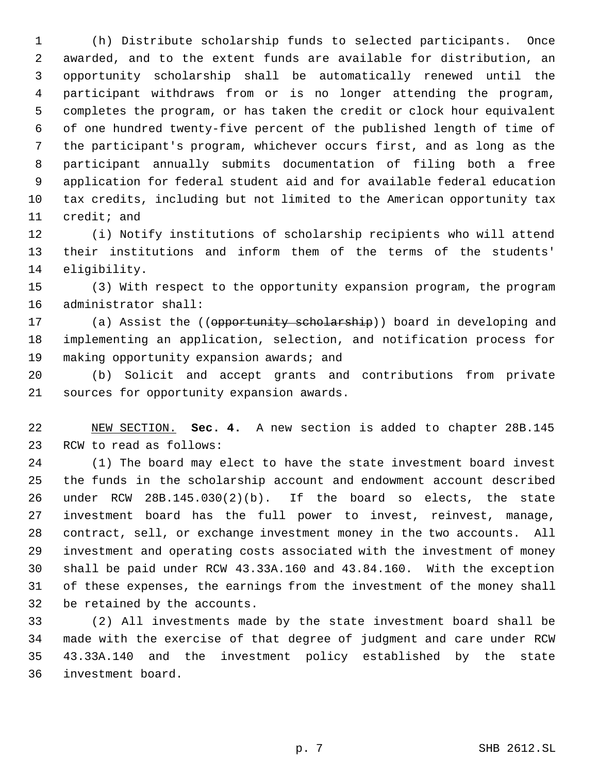(h) Distribute scholarship funds to selected participants. Once awarded, and to the extent funds are available for distribution, an opportunity scholarship shall be automatically renewed until the participant withdraws from or is no longer attending the program, completes the program, or has taken the credit or clock hour equivalent of one hundred twenty-five percent of the published length of time of the participant's program, whichever occurs first, and as long as the participant annually submits documentation of filing both a free application for federal student aid and for available federal education tax credits, including but not limited to the American opportunity tax credit; and

 (i) Notify institutions of scholarship recipients who will attend their institutions and inform them of the terms of the students' eligibility.

 (3) With respect to the opportunity expansion program, the program administrator shall:

17 (a) Assist the ((opportunity scholarship)) board in developing and implementing an application, selection, and notification process for 19 making opportunity expansion awards; and

 (b) Solicit and accept grants and contributions from private sources for opportunity expansion awards.

 NEW SECTION. **Sec. 4.** A new section is added to chapter 28B.145 RCW to read as follows:

 (1) The board may elect to have the state investment board invest the funds in the scholarship account and endowment account described under RCW 28B.145.030(2)(b). If the board so elects, the state investment board has the full power to invest, reinvest, manage, contract, sell, or exchange investment money in the two accounts. All investment and operating costs associated with the investment of money shall be paid under RCW 43.33A.160 and 43.84.160. With the exception of these expenses, the earnings from the investment of the money shall be retained by the accounts.

 (2) All investments made by the state investment board shall be made with the exercise of that degree of judgment and care under RCW 43.33A.140 and the investment policy established by the state investment board.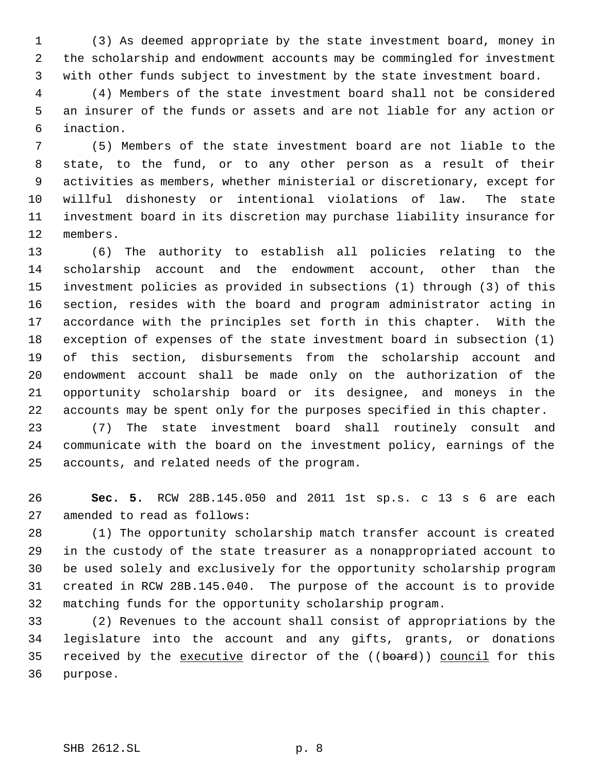(3) As deemed appropriate by the state investment board, money in the scholarship and endowment accounts may be commingled for investment with other funds subject to investment by the state investment board.

 (4) Members of the state investment board shall not be considered an insurer of the funds or assets and are not liable for any action or inaction.

 (5) Members of the state investment board are not liable to the state, to the fund, or to any other person as a result of their activities as members, whether ministerial or discretionary, except for willful dishonesty or intentional violations of law. The state investment board in its discretion may purchase liability insurance for members.

 (6) The authority to establish all policies relating to the scholarship account and the endowment account, other than the investment policies as provided in subsections (1) through (3) of this section, resides with the board and program administrator acting in accordance with the principles set forth in this chapter. With the exception of expenses of the state investment board in subsection (1) of this section, disbursements from the scholarship account and endowment account shall be made only on the authorization of the opportunity scholarship board or its designee, and moneys in the accounts may be spent only for the purposes specified in this chapter.

 (7) The state investment board shall routinely consult and communicate with the board on the investment policy, earnings of the accounts, and related needs of the program.

 **Sec. 5.** RCW 28B.145.050 and 2011 1st sp.s. c 13 s 6 are each amended to read as follows:

 (1) The opportunity scholarship match transfer account is created in the custody of the state treasurer as a nonappropriated account to be used solely and exclusively for the opportunity scholarship program created in RCW 28B.145.040. The purpose of the account is to provide matching funds for the opportunity scholarship program.

 (2) Revenues to the account shall consist of appropriations by the legislature into the account and any gifts, grants, or donations 35 received by the executive director of the ((board)) council for this purpose.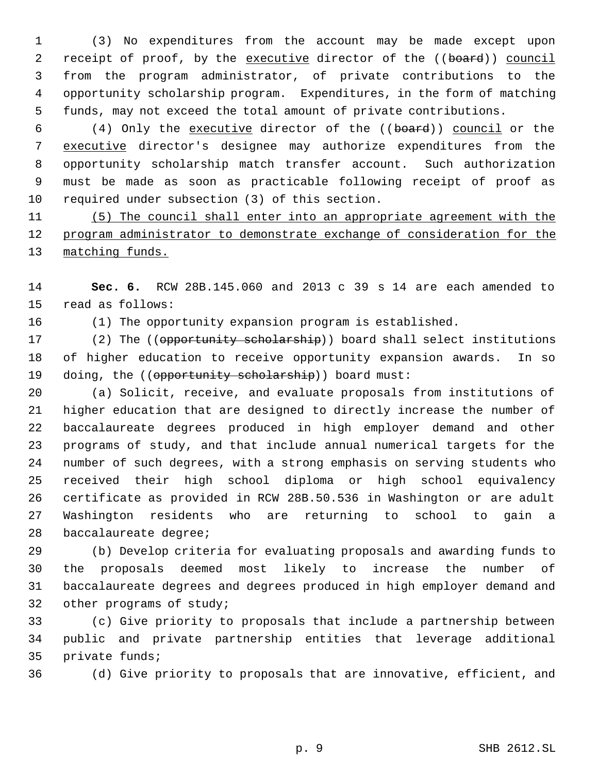(3) No expenditures from the account may be made except upon 2 receipt of proof, by the executive director of the ((board)) council from the program administrator, of private contributions to the opportunity scholarship program. Expenditures, in the form of matching funds, may not exceed the total amount of private contributions.

 (4) Only the executive director of the ((board)) council or the 7 executive director's designee may authorize expenditures from the opportunity scholarship match transfer account. Such authorization must be made as soon as practicable following receipt of proof as required under subsection (3) of this section.

 (5) The council shall enter into an appropriate agreement with the program administrator to demonstrate exchange of consideration for the 13 matching funds.

 **Sec. 6.** RCW 28B.145.060 and 2013 c 39 s 14 are each amended to read as follows:

(1) The opportunity expansion program is established.

17 (2) The ((opportunity scholarship)) board shall select institutions of higher education to receive opportunity expansion awards. In so 19 doing, the ((opportunity scholarship)) board must:

 (a) Solicit, receive, and evaluate proposals from institutions of higher education that are designed to directly increase the number of baccalaureate degrees produced in high employer demand and other programs of study, and that include annual numerical targets for the number of such degrees, with a strong emphasis on serving students who received their high school diploma or high school equivalency certificate as provided in RCW 28B.50.536 in Washington or are adult Washington residents who are returning to school to gain a baccalaureate degree;

 (b) Develop criteria for evaluating proposals and awarding funds to the proposals deemed most likely to increase the number of baccalaureate degrees and degrees produced in high employer demand and other programs of study;

 (c) Give priority to proposals that include a partnership between public and private partnership entities that leverage additional private funds;

(d) Give priority to proposals that are innovative, efficient, and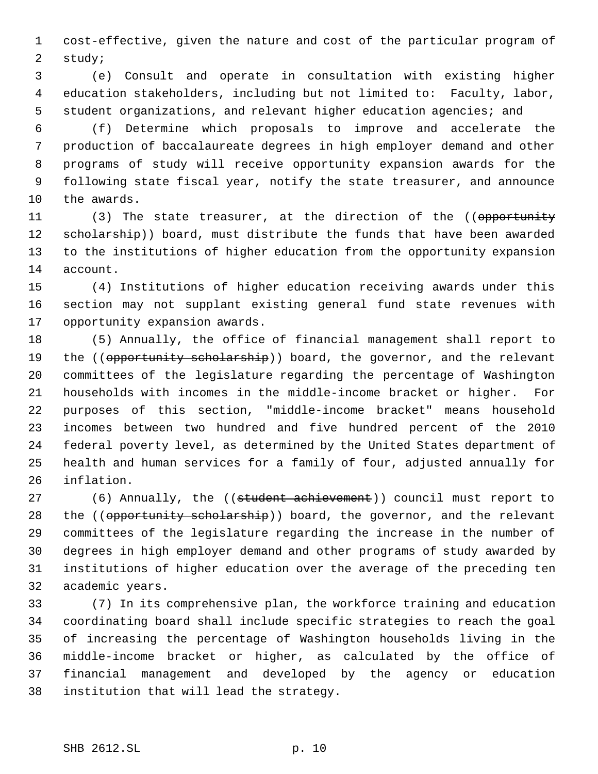cost-effective, given the nature and cost of the particular program of study;

 (e) Consult and operate in consultation with existing higher education stakeholders, including but not limited to: Faculty, labor, student organizations, and relevant higher education agencies; and

 (f) Determine which proposals to improve and accelerate the production of baccalaureate degrees in high employer demand and other programs of study will receive opportunity expansion awards for the following state fiscal year, notify the state treasurer, and announce the awards.

11 (3) The state treasurer, at the direction of the ((opportunity 12 seholarship)) board, must distribute the funds that have been awarded to the institutions of higher education from the opportunity expansion account.

 (4) Institutions of higher education receiving awards under this section may not supplant existing general fund state revenues with opportunity expansion awards.

 (5) Annually, the office of financial management shall report to 19 the ((opportunity scholarship)) board, the governor, and the relevant committees of the legislature regarding the percentage of Washington households with incomes in the middle-income bracket or higher. For purposes of this section, "middle-income bracket" means household incomes between two hundred and five hundred percent of the 2010 federal poverty level, as determined by the United States department of health and human services for a family of four, adjusted annually for inflation.

27 (6) Annually, the ((student achievement)) council must report to 28 the ((opportunity scholarship)) board, the governor, and the relevant committees of the legislature regarding the increase in the number of degrees in high employer demand and other programs of study awarded by institutions of higher education over the average of the preceding ten academic years.

 (7) In its comprehensive plan, the workforce training and education coordinating board shall include specific strategies to reach the goal of increasing the percentage of Washington households living in the middle-income bracket or higher, as calculated by the office of financial management and developed by the agency or education institution that will lead the strategy.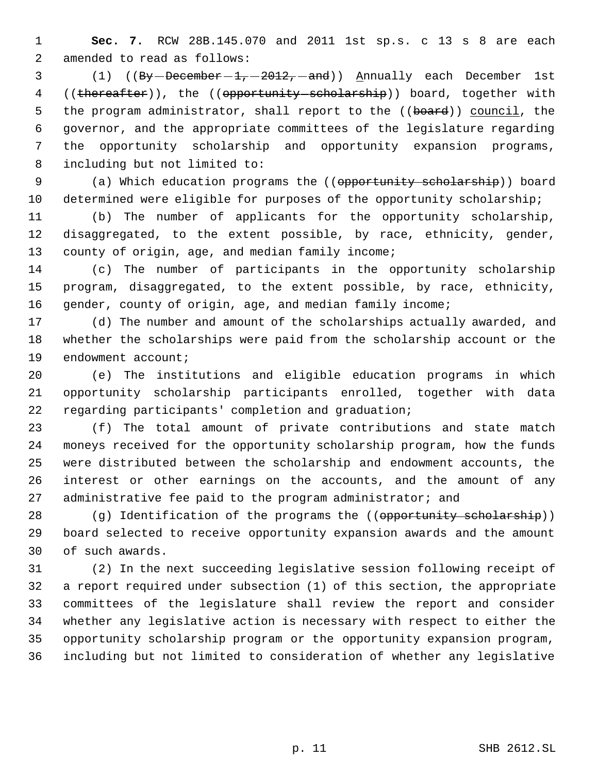**Sec. 7.** RCW 28B.145.070 and 2011 1st sp.s. c 13 s 8 are each amended to read as follows:

3 (1) ((By - December - 1, - 2012, - and)) Annually each December 1st 4 ((thereafter)), the ((opportunity scholarship)) board, together with 5 the program administrator, shall report to the ((board)) council, the governor, and the appropriate committees of the legislature regarding the opportunity scholarship and opportunity expansion programs, including but not limited to:

9 (a) Which education programs the ((opportunity scholarship)) board determined were eligible for purposes of the opportunity scholarship;

 (b) The number of applicants for the opportunity scholarship, disaggregated, to the extent possible, by race, ethnicity, gender, 13 county of origin, age, and median family income;

 (c) The number of participants in the opportunity scholarship program, disaggregated, to the extent possible, by race, ethnicity, gender, county of origin, age, and median family income;

 (d) The number and amount of the scholarships actually awarded, and whether the scholarships were paid from the scholarship account or the endowment account;

 (e) The institutions and eligible education programs in which opportunity scholarship participants enrolled, together with data regarding participants' completion and graduation;

 (f) The total amount of private contributions and state match moneys received for the opportunity scholarship program, how the funds were distributed between the scholarship and endowment accounts, the interest or other earnings on the accounts, and the amount of any 27 administrative fee paid to the program administrator; and

28 (g) Identification of the programs the ((opportunity scholarship)) board selected to receive opportunity expansion awards and the amount of such awards.

 (2) In the next succeeding legislative session following receipt of a report required under subsection (1) of this section, the appropriate committees of the legislature shall review the report and consider whether any legislative action is necessary with respect to either the opportunity scholarship program or the opportunity expansion program, including but not limited to consideration of whether any legislative